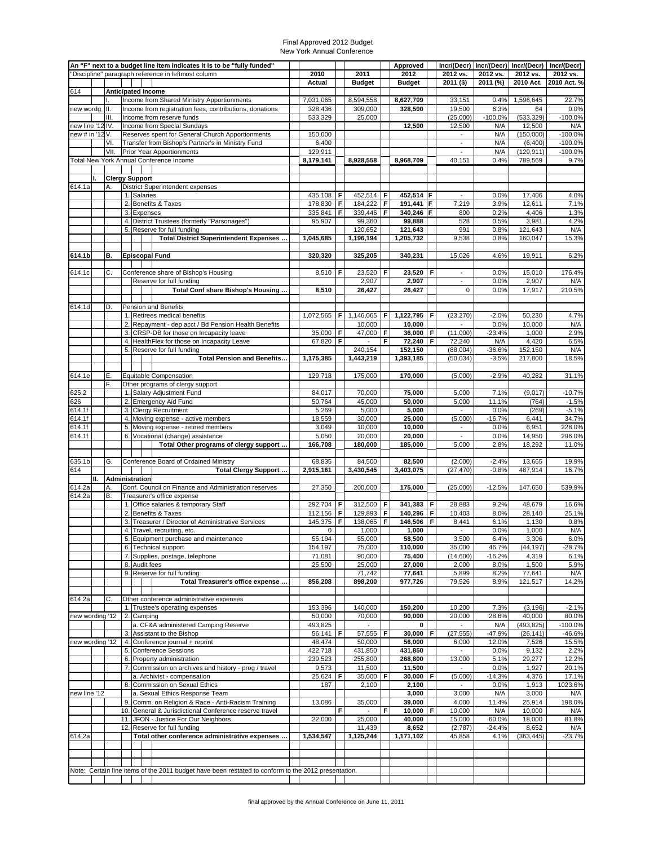|                  |    |            |    | An "F" next to a budget line item indicates it is to be "fully funded"                              |                      |        |                                    |        | Approved              |          |                                   | Incr/(Decr)   Incr/(Decr)   Incr/(Decr) |                       | Incr/(Decr)             |
|------------------|----|------------|----|-----------------------------------------------------------------------------------------------------|----------------------|--------|------------------------------------|--------|-----------------------|----------|-----------------------------------|-----------------------------------------|-----------------------|-------------------------|
|                  |    |            |    | "Discipline" paragraph reference in leftmost column                                                 | 2010<br>Actual       |        | 2011<br><b>Budget</b>              |        | 2012<br><b>Budget</b> |          | 2012 vs.<br>2011 (\$)             | 2012 vs.<br>2011 (%)                    | 2012 vs.<br>2010 Act. | 2012 vs.<br>2010 Act. % |
| 614              |    |            |    | <b>Anticipated Income</b>                                                                           |                      |        |                                    |        |                       |          |                                   |                                         |                       |                         |
|                  |    |            |    | Income from Shared Ministry Apportionments                                                          | 7,031,065            |        | 8,594,558                          |        | 8,627,709             |          | 33,151                            | 0.4%                                    | 1,596,645             | 22.7%                   |
| new wordg        |    | III.<br>Ш. |    | Income from registration fees, contributions, donations<br>Income from reserve funds                | 328,436<br>533,329   |        | 309,000<br>25,000                  |        | 328,500               |          | 19,500<br>(25,000)                | 6.3%<br>$-100.0%$                       | 64<br>(533, 329)      | 0.0%<br>$-100.0%$       |
| new line '12 IV. |    |            |    | Income from Special Sundays                                                                         |                      |        |                                    |        | 12,500                |          | 12,500                            | N/A                                     | 12,500                | N/A                     |
| new # in '12 V.  |    |            |    | Reserves spent for General Church Apportionments                                                    | 150,000              |        |                                    |        |                       |          | $\blacksquare$                    | N/A                                     | (150,000)             | $-100.0%$               |
|                  |    | VI.        |    | Transfer from Bishop's Partner's in Ministry Fund                                                   | 6,400                |        |                                    |        |                       |          | $\overline{a}$<br>$\blacksquare$  | N/A<br>N/A                              | (6,400)               | $-100.0%$               |
|                  |    | VII.       |    | Prior Year Apportionments<br>Total New York Annual Conference Income                                | 129,911<br>8,179,141 |        | 8,928,558                          |        | 8,968,709             |          | 40,151                            | 0.4%                                    | (129, 911)<br>789,569 | $-100.0%$<br>9.7%       |
|                  |    |            |    |                                                                                                     |                      |        |                                    |        |                       |          |                                   |                                         |                       |                         |
|                  |    |            |    | <b>Clergy Support</b>                                                                               |                      |        |                                    |        |                       |          |                                   |                                         |                       |                         |
| 614.1a           |    | А.         |    | District Superintendent expenses<br>1. Salaries                                                     | 435,108 F            |        | 452,514                            | F      | 452,514 F             |          | $\blacksquare$                    | 0.0%                                    | 17,406                | 4.0%                    |
|                  |    |            |    | 2. Benefits & Taxes                                                                                 | 178,830              | F      | 184,222                            | F      | 191,441 F             |          | 7,219                             | 3.9%                                    | 12,611                | 7.1%                    |
|                  |    |            |    | 3. Expenses                                                                                         | 335,841              | F      | 339,446                            | F      | 340,246 F             |          | 800                               | 0.2%                                    | 4,406                 | 1.3%                    |
|                  |    |            |    | 4. District Trustees (formerly "Parsonages")<br>5. Reserve for full funding                         | 95,907               |        | 99,360                             |        | 99,888                |          | 528                               | 0.5%<br>0.8%                            | 3,981                 | 4.2%<br>N/A             |
|                  |    |            |    | Total District Superintendent Expenses                                                              | 1,045,685            |        | 120,652<br>1,196,194               |        | 121,643<br>1,205,732  |          | 991<br>9,538                      | 0.8%                                    | 121,643<br>160,047    | 15.3%                   |
|                  |    |            |    |                                                                                                     |                      |        |                                    |        |                       |          |                                   |                                         |                       |                         |
| 614.1b           |    | В.         |    | <b>Episcopal Fund</b>                                                                               | 320,320              |        | 325,205                            |        | 340,231               |          | 15,026                            | 4.6%                                    | 19,911                | 6.2%                    |
| 614.1c           |    | C.         |    | Conference share of Bishop's Housing                                                                | 8,510   $F$          |        | 23,520                             | F      | 23,520 F              |          | $\overline{\phantom{a}}$          | 0.0%                                    | 15,010                | 176.4%                  |
|                  |    |            |    | Reserve for full funding                                                                            |                      |        | 2,907                              |        | 2,907                 |          | $\blacksquare$                    | 0.0%                                    | 2,907                 | N/A                     |
|                  |    |            |    | Total Conf share Bishop's Housing                                                                   | 8,510                |        | 26,427                             |        | 26,427                |          | $\mathbf 0$                       | 0.0%                                    | 17,917                | 210.5%                  |
| 614.1d           |    | D.         |    | <b>Pension and Benefits</b>                                                                         |                      |        |                                    |        |                       |          |                                   |                                         |                       |                         |
|                  |    |            |    | 1. Retirees medical benefits                                                                        | 1,072,565            | F      | 1,146,065                          | F      | 1,122,795             | F        | (23, 270)                         | $-2.0%$                                 | 50,230                | 4.7%                    |
|                  |    |            |    | 2. Repayment - dep acct / Bd Pension Health Benefits                                                |                      |        | 10,000                             |        | 10,000                |          | $\blacksquare$                    | 0.0%                                    | 10,000                | N/A                     |
|                  |    |            |    | 3. CRSP-DB for those on Incapacity leave<br>4. HealthFlex for those on Incapacity Leave             | 35,000 F<br>67,820 F |        | 47,000<br>$\overline{\phantom{a}}$ | F<br>F | 36,000<br>72,240      | l F<br>F | (11,000)<br>72,240                | $-23.4%$<br>N/A                         | 1,000<br>4,420        | 2.9%<br>6.5%            |
|                  |    |            |    | 5. Reserve for full funding                                                                         |                      |        | 240,154                            |        | 152,150               |          | (88,004)                          | $-36.6%$                                | 152,150               | N/A                     |
|                  |    |            |    | <b>Total Pension and Benefits</b>                                                                   | 1,175,385            |        | 1,443,219                          |        | 1,393,185             |          | (50, 034)                         | $-3.5%$                                 | 217,800               | 18.5%                   |
| 614.1e           |    | Е.         |    | Equitable Compensation                                                                              | 129,718              |        | 175,000                            |        | 170,000               |          | (5,000)                           | $-2.9%$                                 | 40,282                | 31.1%                   |
|                  |    | F.         |    | Other programs of clergy support                                                                    |                      |        |                                    |        |                       |          |                                   |                                         |                       |                         |
| 625.2            |    |            |    | 1. Salary Adjustment Fund                                                                           | 84,017               |        | 70,000                             |        | 75,000                |          | 5,000                             | 7.1%                                    | (9,017)               | $-10.7%$                |
| 626<br>614.1f    |    |            |    | 2. Emergency Aid Fund<br>3. Clergy Recruitment                                                      | 50,764<br>5,269      |        | 45,000<br>5,000                    |        | 50,000<br>5,000       |          | 5,000<br>$\overline{\phantom{a}}$ | 11.1%<br>0.0%                           | (764)<br>(269)        | $-1.5%$<br>$-5.1%$      |
| 614.1f           |    |            |    | 4. Moving expense - active members                                                                  | 18,559               |        | 30,000                             |        | 25,000                |          | (5,000)                           | $-16.7%$                                | 6,441                 | 34.7%                   |
| 614.1f           |    |            |    | 5. Moving expense - retired members                                                                 | 3,049                |        | 10,000                             |        | 10,000                |          | $\blacksquare$                    | 0.0%                                    | 6,951                 | 228.0%                  |
| 614.1f           |    |            |    | 6. Vocational (change) assistance                                                                   | 5,050                |        | 20,000<br>180,000                  |        | 20,000<br>185,000     |          | $\overline{\phantom{a}}$          | 0.0%                                    | 14,950                | 296.0%                  |
|                  |    |            |    | Total Other programs of clergy support                                                              | 166,708              |        |                                    |        |                       |          | 5,000                             | 2.8%                                    | 18,292                | 11.0%                   |
| 635.1b           |    | G.         |    | Conference Board of Ordained Ministry                                                               | 68,835               |        | 84,500                             |        | 82,500                |          | (2,000)                           | $-2.4%$                                 | 13,665                | 19.9%                   |
| 614              | П. |            |    | Total Clergy Support<br>Administration                                                              | 2,915,161            |        | 3,430,545                          |        | 3,403,075             |          | (27, 470)                         | $-0.8%$                                 | 487,914               | 16.7%                   |
| 614.2a           |    | Α.         |    | Conf. Council on Finance and Administration reserves                                                | 27,350               |        | 200,000                            |        | 175,000               |          | (25,000)                          | $-12.5%$                                | 147,650               | 539.9%                  |
| 614.2a           |    | В.         |    | Treasurer's office expense                                                                          |                      |        |                                    |        |                       |          |                                   |                                         |                       |                         |
|                  |    |            |    | 1. Office salaries & temporary Staff<br>2. Benefits & Taxes                                         | 292,704<br>112,156   | F<br>F | 312,500<br>129,893                 | F<br>F | 341,383<br>140,296 F  | l F      | 28,883<br>10,403                  | 9.2%<br>8.0%                            | 48,679<br>28,140      | 16.6%<br>25.1%          |
|                  |    |            |    | 3. Treasurer / Director of Administrative Services                                                  | 145,375 F            |        | 138,065                            | F      | 146,506               | F        | 8,441                             | 6.1%                                    | 1,130                 | 0.8%                    |
|                  |    |            |    | 4. Travel, recruiting, etc.                                                                         | 0                    |        | 1,000                              |        | 1,000                 |          | $\overline{\phantom{a}}$          | 0.0%                                    | 1,000                 | N/A                     |
|                  |    |            |    | 5. Equipment purchase and maintenance                                                               | 55.194               |        | 55.000                             |        | 58.500<br>110,000     |          | 3.500                             | 6.4%                                    | 3.306                 | 6.0%<br>$-28.7%$        |
|                  |    |            |    | 6. Technical support<br>7. Supplies, postage, telephone                                             | 154,197<br>71,081    |        | 75,000<br>90,000                   |        | 75,400                |          | 35,000<br>(14,600)                | 46.7%<br>$-16.2%$                       | (44, 197)<br>4,319    | 6.1%                    |
|                  |    |            |    | 8. Audit fees                                                                                       | 25,500               |        | 25,000                             |        | 27,000                |          | 2,000                             | 8.0%                                    | 1,500                 | 5.9%                    |
|                  |    |            |    | 9. Reserve for full funding                                                                         |                      |        | 71,742                             |        | 77,641                |          | 5,899                             | 8.2%                                    | 77,641                | N/A                     |
|                  |    |            |    | Total Treasurer's office expense                                                                    | 856,208              |        | 898,200                            |        | 977,726               |          | 79,526                            | 8.9%                                    | 121,517               | 14.2%                   |
| 614.2a           |    | С.         |    | Other conference administrative expenses                                                            |                      |        |                                    |        |                       |          |                                   |                                         |                       |                         |
|                  |    |            |    | 1. Trustee's operating expenses                                                                     | 153,396              |        | 140,000                            |        | 150,200               |          | 10,200                            | 7.3%                                    | (3, 196)              | $-2.1%$                 |
| new wording '12  |    |            | 2. | Camping<br>a. CF&A administered Camping Reserve                                                     | 50,000<br>493,825    |        | 70,000                             |        | 90,000<br>0           |          | 20,000                            | 28.6%<br>N/A                            | 40,000<br>(493, 825)  | 80.0%<br>$-100.0%$      |
|                  |    |            |    | 3. Assistant to the Bishop                                                                          | 56,141   F           |        | 57,555                             | F      | 30,000                | F        | (27, 555)                         | $-47.9%$                                | (26, 141)             | $-46.6%$                |
| new wording '12  |    |            |    | 4. Conference journal + reprint                                                                     | 48,474               |        | 50,000                             |        | 56,000                |          | 6,000                             | 12.0%                                   | 7,526                 | 15.5%                   |
|                  |    |            |    | 5. Conference Sessions<br>6. Property administration                                                | 422,718<br>239,523   |        | 431,850<br>255,800                 |        | 431,850<br>268,800    |          | 13,000                            | 0.0%<br>5.1%                            | 9,132<br>29,277       | 2.2%<br>12.2%           |
|                  |    |            | 7. | Commission on archives and history - prog / travel                                                  | 9,573                |        | 11,500                             |        | 11,500                |          | $\sim$                            | 0.0%                                    | 1,927                 | 20.1%                   |
|                  |    |            |    | a. Archivist - compensation                                                                         | 25,624 F             |        | 35,000                             | F      | 30,000                | F        | (5,000)                           | $-14.3%$                                | 4,376                 | 17.1%                   |
| new line '12     |    |            |    | 8. Commission on Sexual Ethics<br>a. Sexual Ethics Response Team                                    | 187                  |        | 2,100                              |        | 2,100<br>3,000        |          | 3,000                             | 0.0%<br>N/A                             | 1,913<br>3,000        | 1023.6%<br>N/A          |
|                  |    |            |    | 9. Comm. on Religion & Race - Anti-Racism Training                                                  | 13,086               |        | 35,000                             |        | 39,000                |          | 4,000                             | 11.4%                                   | 25,914                | 198.0%                  |
|                  |    |            |    | 10. General & Jurisdictional Conference reserve travel                                              |                      | F      |                                    | F      | 10,000 F              |          | 10,000                            | N/A                                     | 10,000                | N/A                     |
|                  |    |            |    | 11. JFON - Justice For Our Neighbors                                                                | 22,000               |        | 25,000                             |        | 40,000                |          | 15,000                            | 60.0%                                   | 18,000                | 81.8%                   |
| 614.2a           |    |            |    | 12. Reserve for full funding<br>Total other conference administrative expenses                      | 1,534,547            |        | 11,439<br>1,125,244                |        | 8,652<br>1,171,102    |          | (2,787)<br>45,858                 | $-24.4%$<br>4.1%                        | 8,652<br>(363, 445)   | N/A<br>$-23.7%$         |
|                  |    |            |    |                                                                                                     |                      |        |                                    |        |                       |          |                                   |                                         |                       |                         |
|                  |    |            |    |                                                                                                     |                      |        |                                    |        |                       |          |                                   |                                         |                       |                         |
|                  |    |            |    | Note: Certain line items of the 2011 budget have been restated to conform to the 2012 presentation. |                      |        |                                    |        |                       |          |                                   |                                         |                       |                         |
|                  |    |            |    |                                                                                                     |                      |        |                                    |        |                       |          |                                   |                                         |                       |                         |

### Final Approved 2012 Budget New York Annual Conference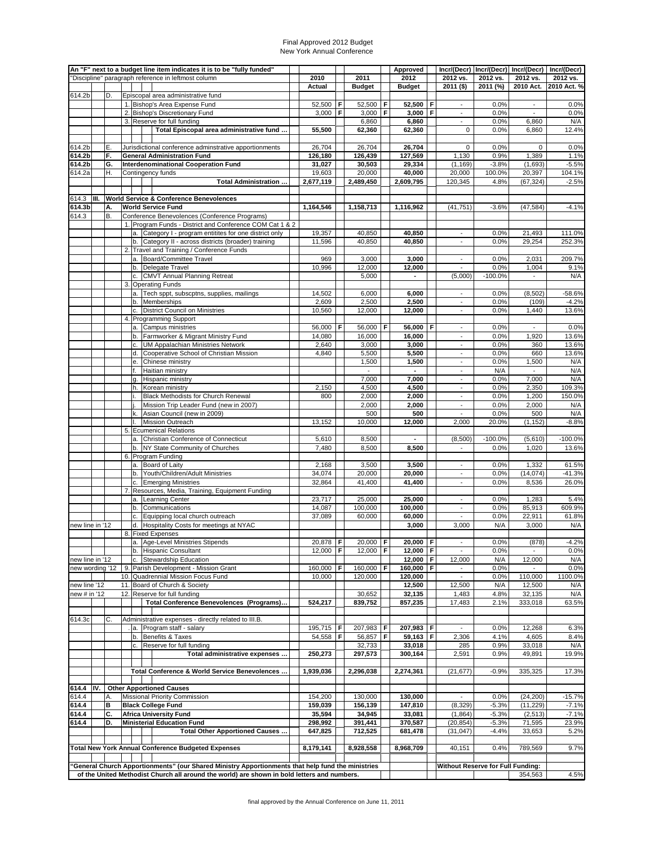#### Final Approved 2012 Budget New York Annual Conference

|                  |      |           |          | An "F" next to a budget line item indicates it is to be "fully funded"<br>'Discipline" paragraph reference in leftmost column | 2010              |   | 2011               |   | Approved<br>2012   |   | 2012 vs.                                             | 2012 vs.           | Incr/(Decr)   Incr/(Decr)   Incr/(Decr)  <br>2012 vs. | Incr/(Decr)<br>2012 vs. |
|------------------|------|-----------|----------|-------------------------------------------------------------------------------------------------------------------------------|-------------------|---|--------------------|---|--------------------|---|------------------------------------------------------|--------------------|-------------------------------------------------------|-------------------------|
|                  |      |           |          |                                                                                                                               | Actual            |   | <b>Budget</b>      |   | <b>Budget</b>      |   | $2011($ \$)                                          | 2011 (%)           | 2010 Act.                                             | 2010 Act. %             |
| 614.2b           |      | D.        |          | Episcopal area administrative fund                                                                                            |                   |   |                    |   |                    |   |                                                      |                    |                                                       |                         |
|                  |      |           |          | 1. Bishop's Area Expense Fund                                                                                                 | 52,500            | F | 52,500             | F | 52,500             | F | $\blacksquare$                                       | 0.0%               | $\blacksquare$                                        | 0.0%                    |
|                  |      |           |          | 2. Bishop's Discretionary Fund<br>3. Reserve for full funding                                                                 | 3,000             | F | 3,000<br>6,860     | F | 3,000<br>6,860     | F | $\overline{\phantom{a}}$<br>$\overline{\phantom{a}}$ | 0.0%               | $\blacksquare$<br>6,860                               | 0.0%<br>N/A             |
|                  |      |           |          | Total Episcopal area administrative fund                                                                                      | 55,500            |   | 62,360             |   | 62,360             |   | 0                                                    | 0.0%<br>0.0%       | 6,860                                                 | 12.4%                   |
|                  |      |           |          |                                                                                                                               |                   |   |                    |   |                    |   |                                                      |                    |                                                       |                         |
| 614.2b           |      | Ε.        |          | Jurisdictional conference adminstrative apportionments                                                                        | 26,704            |   | 26,704             |   | 26,704             |   | $\mathbf 0$                                          | 0.0%               | 0                                                     | 0.0%                    |
| 614.2b<br>614.2b |      | F.<br>G.  |          | <b>General Administration Fund</b><br><b>Interdenominational Cooperation Fund</b>                                             | 126,180<br>31,027 |   | 126,439<br>30,503  |   | 127,569<br>29,334  |   | 1,130<br>(1, 169)                                    | 0.9%<br>$-3.8%$    | 1,389<br>(1,693)                                      | 1.1%<br>$-5.5%$         |
| 614.2a           |      | Η.        |          | Contingency funds                                                                                                             | 19,603            |   | 20,000             |   | 40,000             |   | 20,000                                               | 100.0%             | 20,397                                                | 104.1%                  |
|                  |      |           |          | Total Administration                                                                                                          | 2,677,119         |   | 2,489,450          |   | 2,609,795          |   | 120,345                                              | 4.8%               | (67, 324)                                             | $-2.5%$                 |
|                  |      |           |          |                                                                                                                               |                   |   |                    |   |                    |   |                                                      |                    |                                                       |                         |
| 614.3<br>614.3b  | III. | А.        |          | <b>World Service &amp; Conference Benevolences</b><br><b>World Service Fund</b>                                               |                   |   |                    |   |                    |   | (41, 751)                                            |                    |                                                       | $-4.1%$                 |
| 614.3            |      | <b>B.</b> |          | Conference Benevolences (Conference Programs)                                                                                 | 1,164,546         |   | 1,158,713          |   | 1,116,962          |   |                                                      | $-3.6%$            | (47, 584)                                             |                         |
|                  |      |           |          | 1. Program Funds - District and Conference COM Cat 1 & 2                                                                      |                   |   |                    |   |                    |   |                                                      |                    |                                                       |                         |
|                  |      |           |          | a. Category I - program entitites for one district only                                                                       | 19,357            |   | 40,850             |   | 40,850             |   | $\overline{a}$                                       | 0.0%               | 21,493                                                | 111.0%                  |
|                  |      |           |          | b. Category II - across districts (broader) training                                                                          | 11,596            |   | 40,850             |   | 40,850             |   | $\overline{\phantom{a}}$                             | 0.0%               | 29,254                                                | 252.3%                  |
|                  |      |           |          | 2. Travel and Training / Conference Funds<br>a. Board/Committee Travel                                                        | 969               |   | 3,000              |   | 3,000              |   | $\overline{a}$                                       | 0.0%               | 2,031                                                 | 209.7%                  |
|                  |      |           |          | b. Delegate Travel                                                                                                            | 10,996            |   | 12,000             |   | 12,000             |   | $\overline{\phantom{a}}$                             | 0.0%               | 1,004                                                 | 9.1%                    |
|                  |      |           |          | c. CMVT Annual Planning Retreat                                                                                               |                   |   | 5,000              |   |                    |   | (5,000)                                              | $-100.0%$          |                                                       | N/A                     |
|                  |      |           |          | 3. Operating Funds                                                                                                            |                   |   |                    |   |                    |   |                                                      |                    |                                                       |                         |
|                  |      |           |          | a. Tech sppt, subscptns, supplies, mailings<br>b. Memberships                                                                 | 14,502<br>2,609   |   | 6,000<br>2,500     |   | 6,000<br>2,500     |   | $\blacksquare$<br>$\overline{\phantom{a}}$           | 0.0%<br>0.0%       | (8,502)<br>(109)                                      | $-58.6%$<br>$-4.2%$     |
|                  |      |           | c.       | <b>District Council on Ministries</b>                                                                                         | 10,560            |   | 12,000             |   | 12,000             |   | $\overline{\phantom{a}}$                             | 0.0%               | 1,440                                                 | 13.6%                   |
|                  |      |           |          | 4. Programming Support                                                                                                        |                   |   |                    |   |                    |   |                                                      |                    |                                                       |                         |
|                  |      |           |          | a. Campus ministries                                                                                                          | 56,000            | F | 56,000             | F | 56,000             | F | $\overline{\phantom{a}}$                             | 0.0%               | $\blacksquare$                                        | 0.0%                    |
|                  |      |           | b.       | Farmworker & Migrant Ministry Fund                                                                                            | 14,080            |   | 16,000             |   | 16.000<br>3,000    |   | $\blacksquare$<br>$\blacksquare$                     | 0.0%               | 1,920                                                 | 13.6%                   |
|                  |      |           | c.<br>d. | <b>UM Appalachian Ministries Network</b><br>Cooperative School of Christian Mission                                           | 2,640<br>4,840    |   | 3,000<br>5,500     |   | 5,500              |   | $\overline{\phantom{a}}$                             | 0.0%<br>0.0%       | 360<br>660                                            | 13.6%<br>13.6%          |
|                  |      |           | e.       | Chinese ministry                                                                                                              |                   |   | 1,500              |   | 1,500              |   | $\blacksquare$                                       | 0.0%               | 1,500                                                 | N/A                     |
|                  |      |           | f.       | Haitian ministry                                                                                                              |                   |   | $\blacksquare$     |   | $\blacksquare$     |   | $\blacksquare$                                       | N/A                | $\blacksquare$                                        | N/A                     |
|                  |      |           | lg.      | Hispanic ministry                                                                                                             |                   |   | 7,000              |   | 7,000              |   | $\overline{\phantom{a}}$                             | 0.0%               | 7,000                                                 | N/A                     |
|                  |      |           | h.<br>i. | Korean ministry<br>Black Methodists for Church Renewal                                                                        | 2,150<br>800      |   | 4,500<br>2,000     |   | 4,500<br>2,000     |   | $\overline{\phantom{a}}$<br>$\blacksquare$           | 0.0%<br>0.0%       | 2,350<br>1,200                                        | 109.3%<br>150.0%        |
|                  |      |           |          | Mission Trip Leader Fund (new in 2007)                                                                                        |                   |   | 2,000              |   | 2,000              |   | $\overline{\phantom{a}}$                             | 0.0%               | 2,000                                                 | N/A                     |
|                  |      |           | k.       | Asian Council (new in 2009)                                                                                                   |                   |   | 500                |   | 500                |   | $\blacksquare$                                       | 0.0%               | 500                                                   | N/A                     |
|                  |      |           | Ι.       | <b>Mission Outreach</b>                                                                                                       | 13,152            |   | 10,000             |   | 12,000             |   | 2,000                                                | 20.0%              | (1, 152)                                              | $-8.8%$                 |
|                  |      |           |          | 5. Ecumenical Relations<br>a. Christian Conference of Connecticut                                                             | 5,610             |   | 8,500              |   |                    |   | (8,500)                                              | $-100.0%$          | (5,610)                                               | $-100.0%$               |
|                  |      |           |          | b. NY State Community of Churches                                                                                             | 7,480             |   | 8,500              |   | 8,500              |   |                                                      | 0.0%               | 1,020                                                 | 13.6%                   |
|                  |      |           |          | 6. Program Funding                                                                                                            |                   |   |                    |   |                    |   |                                                      |                    |                                                       |                         |
|                  |      |           |          | a. Board of Laity                                                                                                             | 2,168             |   | 3,500              |   | 3,500              |   | $\overline{\phantom{a}}$                             | 0.0%               | 1,332                                                 | 61.5%                   |
|                  |      |           | b.       | Youth/Children/Adult Ministries                                                                                               | 34,074<br>32,864  |   | 20,000<br>41,400   |   | 20,000<br>41,400   |   | ÷,<br>$\blacksquare$                                 | 0.0%<br>0.0%       | (14, 074)<br>8,536                                    | $-41.3%$<br>26.0%       |
|                  |      |           |          | c. Emerging Ministries<br>7. Resources, Media, Training, Equipment Funding                                                    |                   |   |                    |   |                    |   |                                                      |                    |                                                       |                         |
|                  |      |           |          | a. Learning Center                                                                                                            | 23,717            |   | 25,000             |   | 25,000             |   | $\blacksquare$                                       | 0.0%               | 1,283                                                 | 5.4%                    |
|                  |      |           | b.       | Communications                                                                                                                | 14,087            |   | 100,000            |   | 100,000            |   | $\overline{\phantom{a}}$                             | 0.0%               | 85,913                                                | 609.9%                  |
|                  |      |           | c.       | Equipping local church outreach                                                                                               | 37,089            |   | 60,000             |   | 60,000             |   | $\overline{\phantom{a}}$                             | 0.0%               | 22,911                                                | 61.8%                   |
| new line in '12  |      |           |          | d. Hospitality Costs for meetings at NYAC<br>8. Fixed Expenses                                                                |                   |   |                    |   | 3,000              |   | 3,000                                                | N/A                | 3,000                                                 | N/A                     |
|                  |      |           |          | a. Age-Level Ministries Stipends                                                                                              | 20,878 F          |   | 20,000             | F | 20,000             | F |                                                      | 0.0%               | (878)                                                 | $-4.2%$                 |
|                  |      |           |          | b. Hispanic Consultant                                                                                                        | 12,000 F          |   | 12,000   $F$       |   | 12,000             | F |                                                      | 0.0%               |                                                       | 0.0%                    |
| new line in '12  |      |           | c.       | Stewardship Education                                                                                                         |                   |   |                    |   | 12,000             | F | 12,000                                               | N/A                | 12,000                                                | N/A                     |
| new wording '12  |      |           |          | 9. Parish Development - Mission Grant<br>10. Quadrennial Mission Focus Fund                                                   | 160,000<br>10,000 | F | 160,000<br>120,000 | F | 160,000<br>120,000 | F |                                                      | 0.0%<br>0.0%       | 110,000                                               | 0.0%<br>1100.0%         |
| new line '12     |      |           |          | 11. Board of Church & Society                                                                                                 |                   |   |                    |   | 12,500             |   | 12,500                                               | N/A                | 12,500                                                | N/A                     |
| new # in '12     |      |           |          | 12. Reserve for full funding                                                                                                  |                   |   | 30,652             |   | 32,135             |   | 1,483                                                | 4.8%               | 32,135                                                | N/A                     |
|                  |      |           |          | Total Conference Benevolences (Programs)                                                                                      | 524,217           |   | 839,752            |   | 857,235            |   | 17,483                                               | 2.1%               | 333,018                                               | 63.5%                   |
| 614.3c           |      | C.        |          | Administrative expenses - directly related to III.B.                                                                          |                   |   |                    |   |                    |   |                                                      |                    |                                                       |                         |
|                  |      |           |          | a. Program staff - salary                                                                                                     | 195,715 F         |   | 207,983            | F | 207,983            | F |                                                      | 0.0%               | 12,268                                                | 6.3%                    |
|                  |      |           | b.       | Benefits & Taxes                                                                                                              | 54,558            | F | 56,857             | F | 59,163             | F | 2,306                                                | 4.1%               | 4,605                                                 | 8.4%                    |
|                  |      |           | c.       | Reserve for full funding                                                                                                      |                   |   | 32,733             |   | 33,018             |   | 285                                                  | 0.9%               | 33,018                                                | N/A                     |
|                  |      |           |          | Total administrative expenses                                                                                                 | 250,273           |   | 297,573            |   | 300,164            |   | 2,591                                                | 0.9%               | 49,891                                                | 19.9%                   |
|                  |      |           |          | Total Conference & World Service Benevolences                                                                                 | 1,939,036         |   | 2,296,038          |   | 2,274,361          |   | (21, 677)                                            | $-0.9%$            | 335,325                                               | 17.3%                   |
|                  |      |           |          |                                                                                                                               |                   |   |                    |   |                    |   |                                                      |                    |                                                       |                         |
| 614.4            | IV.  |           |          | <b>Other Apportioned Causes</b>                                                                                               |                   |   |                    |   |                    |   |                                                      |                    |                                                       |                         |
| 614.4            |      | Α.        |          | Missional Priority Commission                                                                                                 | 154,200           |   | 130,000            |   | 130,000            |   | $\blacksquare$                                       | 0.0%               | (24, 200)                                             | $-15.7%$                |
| 614.4<br>614.4   |      | в<br>C.   |          | <b>Black College Fund</b><br><b>Africa University Fund</b>                                                                    | 159,039<br>35,594 |   | 156,139<br>34,945  |   | 147,810<br>33,081  |   | (8, 329)<br>(1,864)                                  | $-5.3%$<br>$-5.3%$ | (11, 229)<br>(2, 513)                                 | $-7.1%$<br>$-7.1%$      |
| 614.4            |      | D.        |          | <b>Ministerial Education Fund</b>                                                                                             | 298,992           |   | 391,441            |   | 370,587            |   | (20, 854)                                            | $-5.3%$            | 71,595                                                | 23.9%                   |
|                  |      |           |          | Total Other Apportioned Causes                                                                                                | 647,825           |   | 712,525            |   | 681,478            |   | (31, 047)                                            | $-4.4%$            | 33,653                                                | 5.2%                    |
|                  |      |           |          |                                                                                                                               |                   |   |                    |   |                    |   |                                                      |                    |                                                       |                         |
|                  |      |           |          | <b>Total New York Annual Conference Budgeted Expenses</b>                                                                     | 8,179,141         |   | 8,928,558          |   | 8,968,709          |   | 40,151                                               | 0.4%               | 789,569                                               | 9.7%                    |
|                  |      |           |          | General Church Apportionments" (our Shared Ministry Apportionments that help fund the ministries                              |                   |   |                    |   |                    |   | <b>Without Reserve for Full Funding:</b>             |                    |                                                       |                         |
|                  |      |           |          | of the United Methodist Church all around the world) are shown in bold letters and numbers.                                   |                   |   |                    |   |                    |   |                                                      |                    | 354,563                                               | 4.5%                    |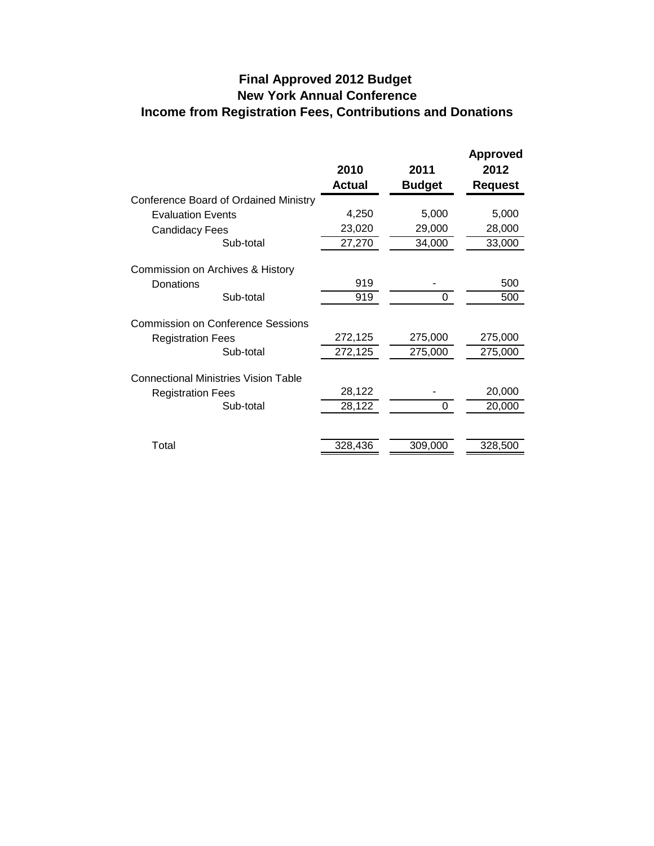# **Income from Registration Fees, Contributions and Donations Final Approved 2012 Budget New York Annual Conference**

|                                             | 2010<br><b>Actual</b> | 2011<br><b>Budget</b> | <b>Approved</b><br>2012<br><b>Request</b> |
|---------------------------------------------|-----------------------|-----------------------|-------------------------------------------|
| Conference Board of Ordained Ministry       |                       |                       |                                           |
| <b>Evaluation Events</b>                    | 4,250                 | 5,000                 | 5,000                                     |
| <b>Candidacy Fees</b>                       | 23,020                | 29,000                | 28,000                                    |
| Sub-total                                   | 27,270                | 34,000                | 33,000                                    |
| Commission on Archives & History            |                       |                       |                                           |
| Donations                                   | 919                   |                       | 500                                       |
| Sub-total                                   | 919                   | 0                     | 500                                       |
| <b>Commission on Conference Sessions</b>    |                       |                       |                                           |
| <b>Registration Fees</b>                    | 272,125               | 275,000               | 275,000                                   |
| Sub-total                                   | 272,125               | 275,000               | 275,000                                   |
| <b>Connectional Ministries Vision Table</b> |                       |                       |                                           |
| <b>Registration Fees</b>                    | 28,122                |                       | 20,000                                    |
| Sub-total                                   | 28,122                | $\Omega$              | 20,000                                    |
|                                             |                       |                       |                                           |
| Total                                       | 328,436               | 309,000               | 328,500                                   |